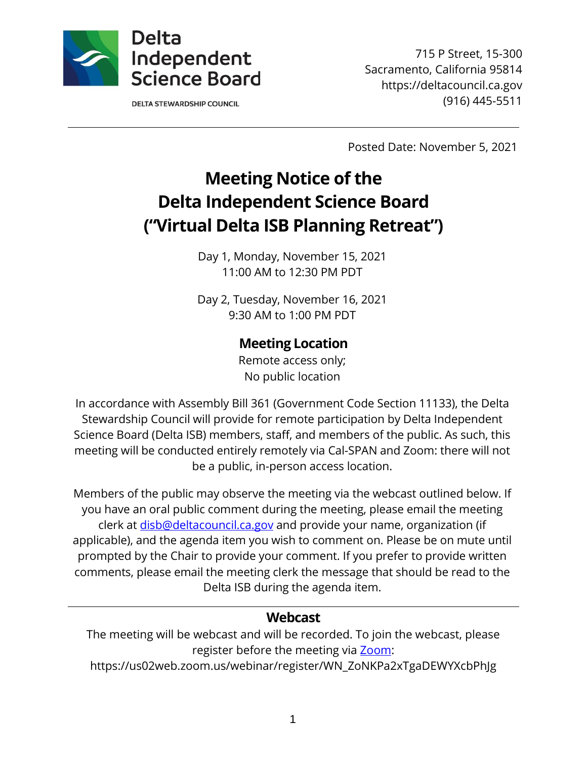

**DELTA STEWARDSHIP COUNCIL** 

715 P Street, 15-300 Sacramento, California 95814 https://deltacouncil.ca.gov (916) 445-5511

Posted Date: November 5, 2021

# **Meeting Notice of the Delta Independent Science Board ("Virtual Delta ISB Planning Retreat")**

Day 1, Monday, November 15, 2021 11:00 AM to 12:30 PM PDT

Day 2, Tuesday, November 16, 2021 9:30 AM to 1:00 PM PDT

## **Meeting Location**

Remote access only; No public location

In accordance with Assembly Bill 361 (Government Code Section 11133), the Delta Stewardship Council will provide for remote participation by Delta Independent Science Board (Delta ISB) members, staff, and members of the public. As such, this meeting will be conducted entirely remotely via Cal-SPAN and Zoom: there will not be a public, in-person access location.

Members of the public may observe the meeting via the webcast outlined below. If you have an oral public comment during the meeting, please email the meeting clerk at [disb@deltacouncil.ca.gov](mailto:disb@deltacouncil.ca.gov) and provide your name, organization (if applicable), and the agenda item you wish to comment on. Please be on mute until prompted by the Chair to provide your comment. If you prefer to provide written comments, please email the meeting clerk the message that should be read to the Delta ISB during the agenda item.

### **Webcast**

The meeting will be webcast and will be recorded. To join the webcast, please register before the meeting via [Zoom:](https://us02web.zoom.us/webinar/register/WN_ZoNKPa2xTgaDEWYXcbPhJg)

https://us02web.zoom.us/webinar/register/WN\_ZoNKPa2xTgaDEWYXcbPhJg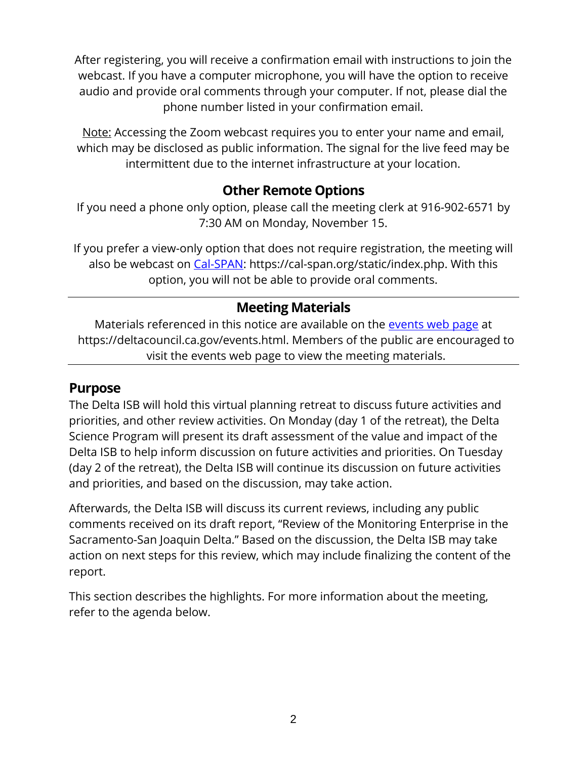After registering, you will receive a confirmation email with instructions to join the webcast. If you have a computer microphone, you will have the option to receive audio and provide oral comments through your computer. If not, please dial the phone number listed in your confirmation email.

Note: Accessing the Zoom webcast requires you to enter your name and email, which may be disclosed as public information. The signal for the live feed may be intermittent due to the internet infrastructure at your location.

### **Other Remote Options**

If you need a phone only option, please call the meeting clerk at 916-902-6571 by 7:30 AM on Monday, November 15.

If you prefer a view-only option that does not require registration, the meeting will also be webcast on [Cal-SPAN:](https://cal-span.org/static/index.php) https://cal-span.org/static/index.php. With this option, you will not be able to provide oral comments.

# **Meeting Materials**

Materials referenced in this notice are available on the [events web page](https://deltacouncil.ca.gov/events.html) at https://deltacouncil.ca.gov/events.html. Members of the public are encouraged to visit the events web page to view the meeting materials.

### **Purpose**

The Delta ISB will hold this virtual planning retreat to discuss future activities and priorities, and other review activities. On Monday (day 1 of the retreat), the Delta Science Program will present its draft assessment of the value and impact of the Delta ISB to help inform discussion on future activities and priorities. On Tuesday (day 2 of the retreat), the Delta ISB will continue its discussion on future activities and priorities, and based on the discussion, may take action.

Afterwards, the Delta ISB will discuss its current reviews, including any public comments received on its draft report, "Review of the Monitoring Enterprise in the Sacramento-San Joaquin Delta." Based on the discussion, the Delta ISB may take action on next steps for this review, which may include finalizing the content of the report.

This section describes the highlights. For more information about the meeting, refer to the agenda below.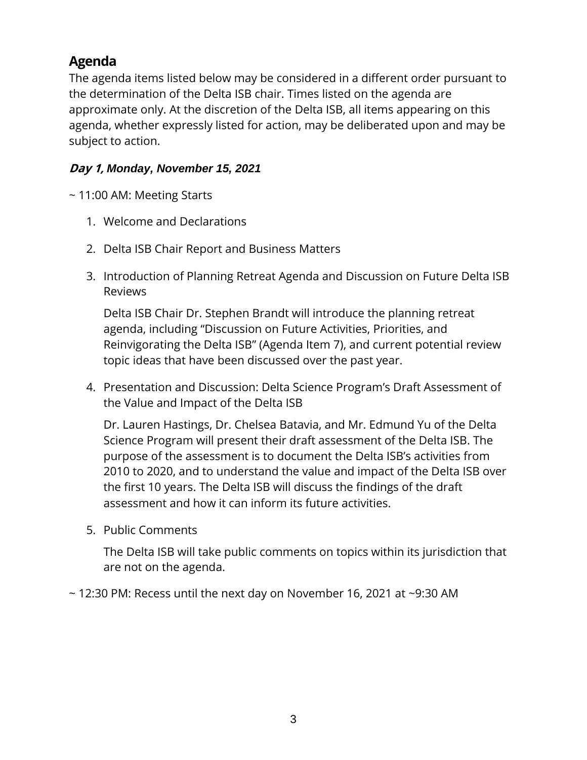# **Agenda**

The agenda items listed below may be considered in a different order pursuant to the determination of the Delta ISB chair. Times listed on the agenda are approximate only. At the discretion of the Delta ISB, all items appearing on this agenda, whether expressly listed for action, may be deliberated upon and may be subject to action.

#### **Day 1,** *Monday, November 15, 2021*

~ 11:00 AM: Meeting Starts

- 1. Welcome and Declarations
- 2. Delta ISB Chair Report and Business Matters
- 3. Introduction of Planning Retreat Agenda and Discussion on Future Delta ISB Reviews

Delta ISB Chair Dr. Stephen Brandt will introduce the planning retreat agenda, including "Discussion on Future Activities, Priorities, and Reinvigorating the Delta ISB" (Agenda Item 7), and current potential review topic ideas that have been discussed over the past year.

4. Presentation and Discussion: Delta Science Program's Draft Assessment of the Value and Impact of the Delta ISB

Dr. Lauren Hastings, Dr. Chelsea Batavia, and Mr. Edmund Yu of the Delta Science Program will present their draft assessment of the Delta ISB. The purpose of the assessment is to document the Delta ISB's activities from 2010 to 2020, and to understand the value and impact of the Delta ISB over the first 10 years. The Delta ISB will discuss the findings of the draft assessment and how it can inform its future activities.

5. Public Comments

The Delta ISB will take public comments on topics within its jurisdiction that are not on the agenda.

 $\sim$  12:30 PM: Recess until the next day on November 16, 2021 at  $\sim$ 9:30 AM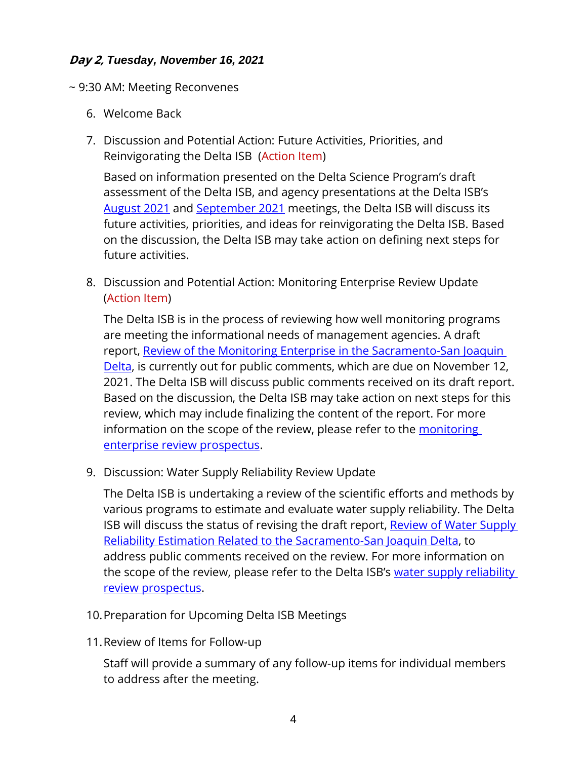#### **Day 2,** *Tuesday, November 16, 2021*

- ~ 9:30 AM: Meeting Reconvenes
	- 6. Welcome Back
	- 7. Discussion and Potential Action: Future Activities, Priorities, and Reinvigorating the Delta ISB (Action Item)

Based on information presented on the Delta Science Program's draft assessment of the Delta ISB, and agency presentations at the Delta ISB's [August 2021](https://cal-span.org/unipage/?site=cal-span&owner=DISB&date=2021-08-20) and [September 2021](https://cal-span.org/unipage/?site=cal-span&owner=DISB&date=2021-09-16) meetings, the Delta ISB will discuss its future activities, priorities, and ideas for reinvigorating the Delta ISB. Based on the discussion, the Delta ISB may take action on defining next steps for future activities.

8. Discussion and Potential Action: Monitoring Enterprise Review Update (Action Item)

The Delta ISB is in the process of reviewing how well monitoring programs are meeting the informational needs of management agencies. A draft report, [Review of the Monitoring Enterprise in the Sacramento-San Joaquin](https://deltacouncil.ca.gov/pdf/isb/meeting-materials/2021-10-12-draft-isb-mer-report.pdf)  [Delta,](https://deltacouncil.ca.gov/pdf/isb/meeting-materials/2021-10-12-draft-isb-mer-report.pdf) is currently out for public comments, which are due on November 12, 2021. The Delta ISB will discuss public comments received on its draft report. Based on the discussion, the Delta ISB may take action on next steps for this review, which may include finalizing the content of the report. For more information on the scope of the review, please refer to the monitoring [enterprise review prospectus.](http://deltacouncil.ca.gov/pdf/isb/products/2017-04-06-isb-mer-prospectus.pdf)

9. Discussion: Water Supply Reliability Review Update

The Delta ISB is undertaking a review of the scientific efforts and methods by various programs to estimate and evaluate water supply reliability. The Delta ISB will discuss the status of revising the draft report, Review of Water Supply [Reliability Estimation Related to the Sacramento-San Joaquin Delta,](https://deltacouncil.ca.gov/pdf/isb/meeting-materials/2021-09-01-isb-draft-water-supply-review.pdf) to address public comments received on the review. For more information on the scope of the review, please refer to the Delta ISB's [water supply reliability](http://deltacouncil.ca.gov/pdf/isb/products/2018-04-03-isb-water-supply-prospectus.pdf)  [review prospectus.](http://deltacouncil.ca.gov/pdf/isb/products/2018-04-03-isb-water-supply-prospectus.pdf)

- 10.Preparation for Upcoming Delta ISB Meetings
- 11.Review of Items for Follow-up

Staff will provide a summary of any follow-up items for individual members to address after the meeting.